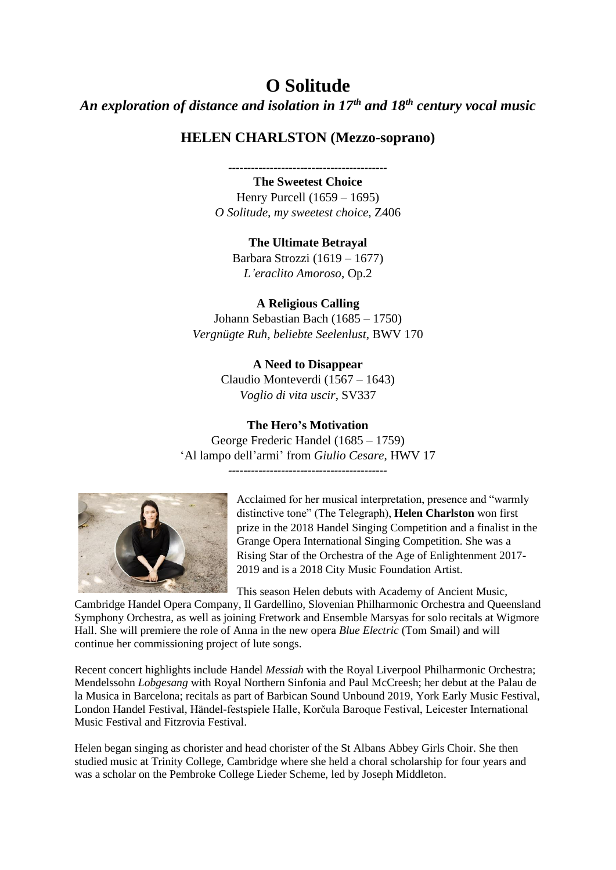# **O Solitude**

*An exploration of distance and isolation in 17th and 18th century vocal music*

## **HELEN CHARLSTON (Mezzo-soprano)**

*------------------------------------------*

**The Sweetest Choice** Henry Purcell (1659 – 1695) *O Solitude, my sweetest choice*, Z406

**The Ultimate Betrayal**

Barbara Strozzi (1619 – 1677) *L'eraclito Amoroso*, Op.2

### **A Religious Calling**

Johann Sebastian Bach (1685 – 1750) *Vergnügte Ruh, beliebte Seelenlust*, BWV 170

> **A Need to Disappear** Claudio Monteverdi (1567 – 1643) *Voglio di vita uscir*, SV337

### **The Hero's Motivation**

George Frederic Handel (1685 – 1759) 'Al lampo dell'armi' from *Giulio Cesare*, HWV 17 *------------------------------------------*



Acclaimed for her musical interpretation, presence and "warmly distinctive tone" (The Telegraph), **Helen Charlston** won first prize in the 2018 Handel Singing Competition and a finalist in the Grange Opera International Singing Competition. She was a Rising Star of the Orchestra of the Age of Enlightenment 2017- 2019 and is a 2018 City Music Foundation Artist.

This season Helen debuts with Academy of Ancient Music,

Cambridge Handel Opera Company, Il Gardellino, Slovenian Philharmonic Orchestra and Queensland Symphony Orchestra, as well as joining Fretwork and Ensemble Marsyas for solo recitals at Wigmore Hall. She will premiere the role of Anna in the new opera *Blue Electric* (Tom Smail) and will continue her commissioning project of lute songs.

Recent concert highlights include Handel *Messiah* with the Royal Liverpool Philharmonic Orchestra; Mendelssohn *Lobgesang* with Royal Northern Sinfonia and Paul McCreesh; her debut at the Palau de la Musica in Barcelona; recitals as part of Barbican Sound Unbound 2019, York Early Music Festival, London Handel Festival, Händel-festspiele Halle, Korčula Baroque Festival, Leicester International Music Festival and Fitzrovia Festival.

Helen began singing as chorister and head chorister of the St Albans Abbey Girls Choir. She then studied music at Trinity College, Cambridge where she held a choral scholarship for four years and was a scholar on the Pembroke College Lieder Scheme, led by Joseph Middleton.